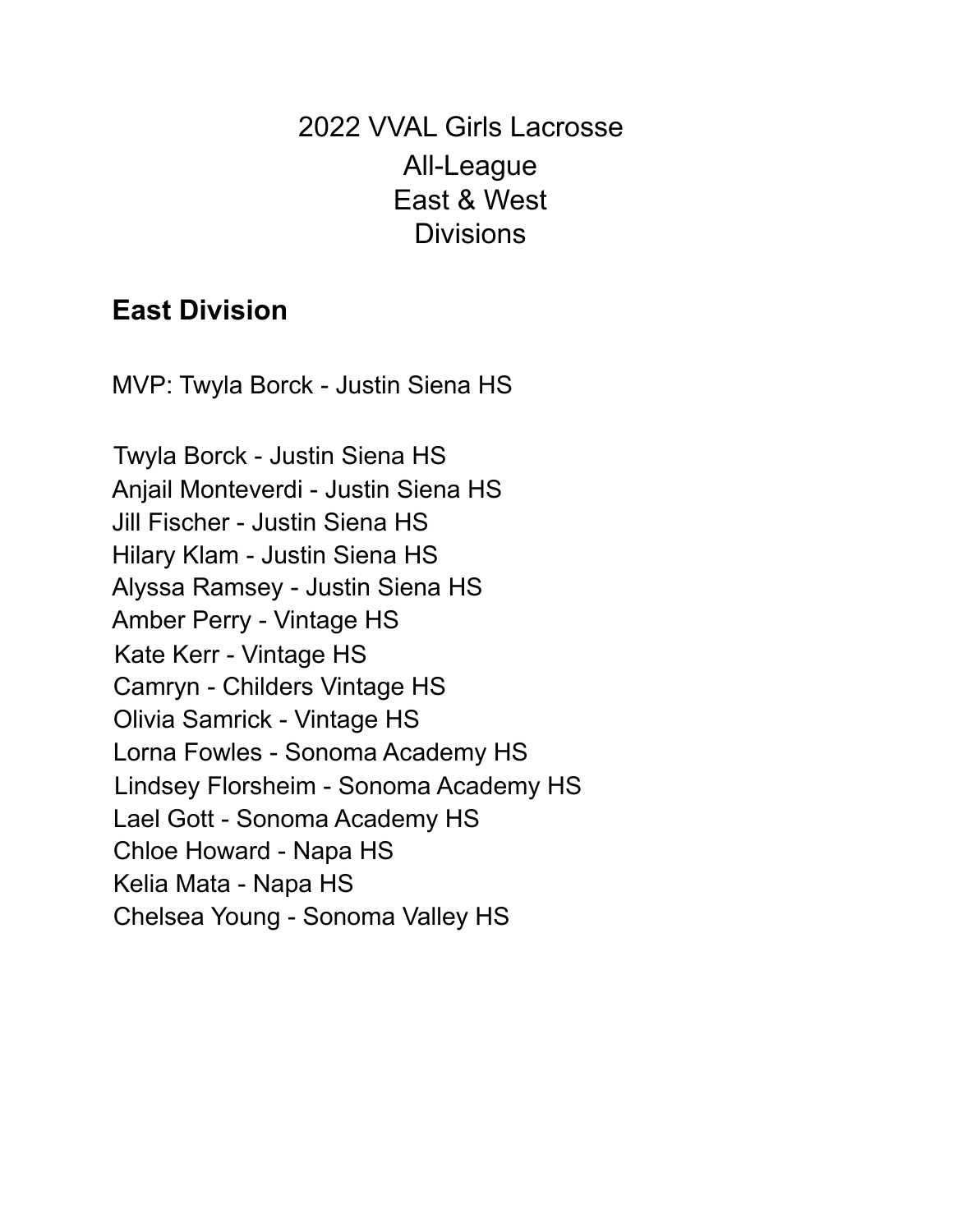2022 VVAL Girls Lacrosse All-League East & West **Divisions** 

## **East Division**

MVP: Twyla Borck - Justin Siena HS

Twyla Borck - Justin Siena HS Anjail Monteverdi - Justin Siena HS Jill Fischer - Justin Siena HS Hilary Klam - Justin Siena HS Alyssa Ramsey - Justin Siena HS Amber Perry - Vintage HS Kate Kerr - Vintage HS Camryn - Childers Vintage HS Olivia Samrick - Vintage HS Lorna Fowles - Sonoma Academy HS Lindsey Florsheim - Sonoma Academy HS Lael Gott - Sonoma Academy HS Chloe Howard - Napa HS Kelia Mata - Napa HS Chelsea Young - Sonoma Valley HS